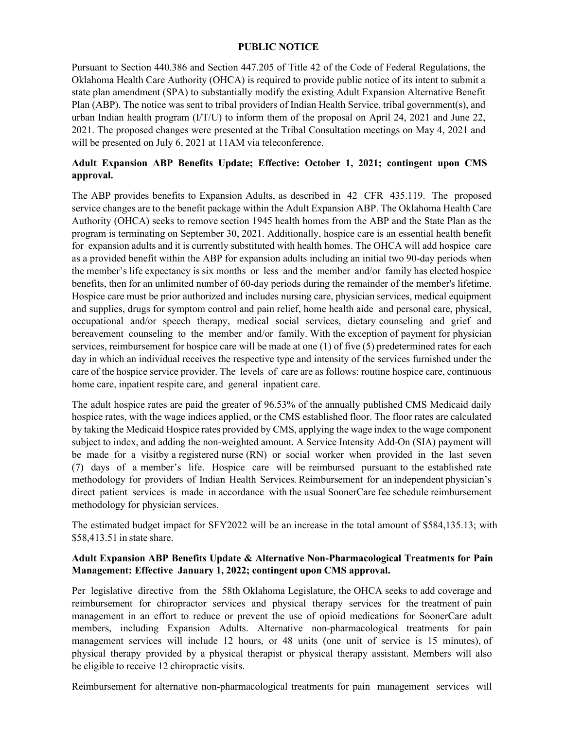## **PUBLIC NOTICE**

Pursuant to Section 440.386 and Section 447.205 of Title 42 of the Code of Federal Regulations, the Oklahoma Health Care Authority (OHCA) is required to provide public notice of its intent to submit a state plan amendment (SPA) to substantially modify the existing Adult Expansion Alternative Benefit Plan (ABP). The notice was sent to tribal providers of Indian Health Service, tribal government(s), and urban Indian health program (I/T/U) to inform them of the proposal on April 24, 2021 and June 22, 2021. The proposed changes were presented at the Tribal Consultation meetings on May 4, 2021 and will be presented on July 6, 2021 at 11AM via teleconference.

## **Adult Expansion ABP Benefits Update; Effective: October 1, 2021; contingent upon CMS approval.**

The ABP provides benefits to Expansion Adults, as described in 42 CFR 435.119. The proposed service changes are to the benefit package within the Adult Expansion ABP. The Oklahoma Health Care Authority (OHCA) seeks to remove section 1945 health homes from the ABP and the State Plan as the program is terminating on September 30, 2021. Additionally, hospice care is an essential health benefit for expansion adults and it is currently substituted with health homes. The OHCA will add hospice care as a provided benefit within the ABP for expansion adults including an initial two 90-day periods when the member's life expectancy is six months or less and the member and/or family has elected hospice benefits, then for an unlimited number of 60-day periods during the remainder of the member's lifetime. Hospice care must be prior authorized and includes nursing care, physician services, medical equipment and supplies, drugs for symptom control and pain relief, home health aide and personal care, physical, occupational and/or speech therapy, medical social services, dietary counseling and grief and bereavement counseling to the member and/or family. With the exception of payment for physician services, reimbursement for hospice care will be made at one (1) of five (5) predetermined rates for each day in which an individual receives the respective type and intensity of the services furnished under the care of the hospice service provider. The levels of care are as follows: routine hospice care, continuous home care, inpatient respite care, and general inpatient care.

The adult hospice rates are paid the greater of 96.53% of the annually published CMS Medicaid daily hospice rates, with the wage indices applied, or the CMS established floor. The floor rates are calculated by taking the Medicaid Hospice rates provided by CMS, applying the wage index to the wage component subject to index, and adding the non-weighted amount. A Service Intensity Add-On (SIA) payment will be made for a visitby a registered nurse (RN) or social worker when provided in the last seven (7) days of a member's life. Hospice care will be reimbursed pursuant to the established rate methodology for providers of Indian Health Services. Reimbursement for an independent physician's direct patient services is made in accordance with the usual SoonerCare fee schedule reimbursement methodology for physician services.

The estimated budget impact for SFY2022 will be an increase in the total amount of \$584,135.13; with \$58,413.51 in state share.

## **Adult Expansion ABP Benefits Update & Alternative Non-Pharmacological Treatments for Pain Management: Effective January 1, 2022; contingent upon CMS approval.**

Per legislative directive from the 58th Oklahoma Legislature, the OHCA seeks to add coverage and reimbursement for chiropractor services and physical therapy services for the treatment of pain management in an effort to reduce or prevent the use of opioid medications for SoonerCare adult members, including Expansion Adults. Alternative non-pharmacological treatments for pain management services will include 12 hours, or 48 units (one unit of service is 15 minutes), of physical therapy provided by a physical therapist or physical therapy assistant. Members will also be eligible to receive 12 chiropractic visits.

Reimbursement for alternative non-pharmacological treatments for pain management services will